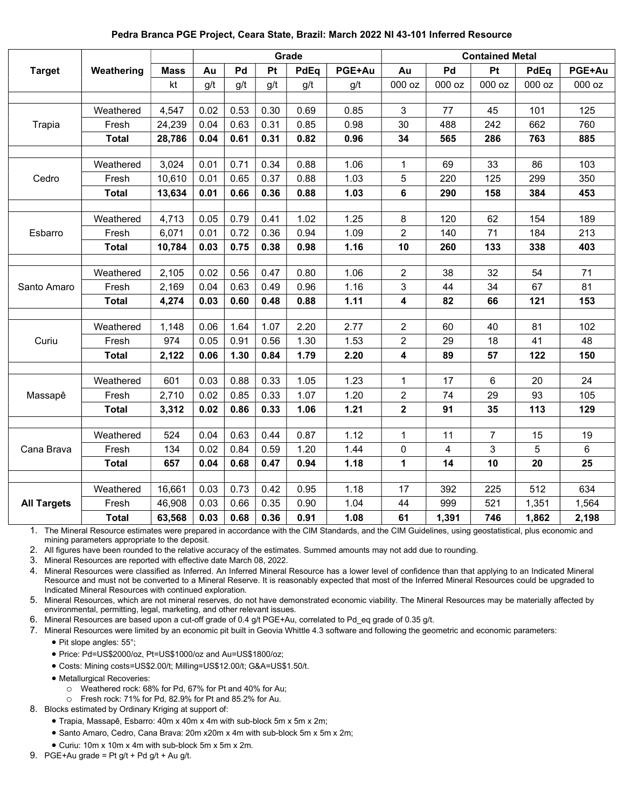## Pedra Branca PGE Project, Ceara State, Brazil: March 2022 NI 43-101 Inferred Resource

|                    |              | Grade       |      |      |      |      |        | <b>Contained Metal</b>  |        |                |        |                |
|--------------------|--------------|-------------|------|------|------|------|--------|-------------------------|--------|----------------|--------|----------------|
| <b>Target</b>      | Weathering   | <b>Mass</b> | Au   | Pd   | Pt   | PdEq | PGE+Au | Au                      | Pd     | Pt             | PdEq   | PGE+Au         |
|                    |              | kt          | g/t  | g/t  | g/t  | g/t  | g/t    | 000 oz                  | 000 oz | 000 oz         | 000 oz | 000 oz         |
|                    |              |             |      |      |      |      |        |                         |        |                |        |                |
| Trapia             | Weathered    | 4,547       | 0.02 | 0.53 | 0.30 | 0.69 | 0.85   | 3                       | 77     | 45             | 101    | 125            |
|                    | Fresh        | 24,239      | 0.04 | 0.63 | 0.31 | 0.85 | 0.98   | 30                      | 488    | 242            | 662    | 760            |
|                    | <b>Total</b> | 28,786      | 0.04 | 0.61 | 0.31 | 0.82 | 0.96   | 34                      | 565    | 286            | 763    | 885            |
|                    |              |             |      |      |      |      |        |                         |        |                |        |                |
| Cedro              | Weathered    | 3,024       | 0.01 | 0.71 | 0.34 | 0.88 | 1.06   | 1                       | 69     | 33             | 86     | 103            |
|                    | Fresh        | 10,610      | 0.01 | 0.65 | 0.37 | 0.88 | 1.03   | 5                       | 220    | 125            | 299    | 350            |
|                    | <b>Total</b> | 13,634      | 0.01 | 0.66 | 0.36 | 0.88 | 1.03   | 6                       | 290    | 158            | 384    | 453            |
|                    |              |             |      |      |      |      |        |                         |        |                |        |                |
| Esbarro            | Weathered    | 4,713       | 0.05 | 0.79 | 0.41 | 1.02 | 1.25   | 8                       | 120    | 62             | 154    | 189            |
|                    | Fresh        | 6,071       | 0.01 | 0.72 | 0.36 | 0.94 | 1.09   | $\overline{2}$          | 140    | 71             | 184    | 213            |
|                    | <b>Total</b> | 10,784      | 0.03 | 0.75 | 0.38 | 0.98 | 1.16   | 10                      | 260    | 133            | 338    | 403            |
|                    |              |             |      |      |      |      |        |                         |        |                |        |                |
| Santo Amaro        | Weathered    | 2,105       | 0.02 | 0.56 | 0.47 | 0.80 | 1.06   | 2                       | 38     | 32             | 54     | 71             |
|                    | Fresh        | 2,169       | 0.04 | 0.63 | 0.49 | 0.96 | 1.16   | 3                       | 44     | 34             | 67     | 81             |
|                    | <b>Total</b> | 4,274       | 0.03 | 0.60 | 0.48 | 0.88 | 1.11   | 4                       | 82     | 66             | 121    | 153            |
|                    |              |             |      |      |      |      |        |                         |        |                |        |                |
| Curiu              | Weathered    | 1,148       | 0.06 | 1.64 | 1.07 | 2.20 | 2.77   | $\overline{2}$          | 60     | 40             | 81     | 102            |
|                    | Fresh        | 974         | 0.05 | 0.91 | 0.56 | 1.30 | 1.53   | $\overline{2}$          | 29     | 18             | 41     | 48             |
|                    | <b>Total</b> | 2,122       | 0.06 | 1.30 | 0.84 | 1.79 | 2.20   | 4                       | 89     | 57             | 122    | 150            |
| Massapê            | Weathered    | 601         | 0.03 | 0.88 | 0.33 | 1.05 | 1.23   |                         |        | 6              | 20     | 24             |
|                    |              |             | 0.02 | 0.85 | 0.33 |      |        | 1                       | 17     |                | 93     | 105            |
|                    | Fresh        | 2,710       |      |      |      | 1.07 | 1.20   | $\overline{2}$          | 74     | 29             |        | 129            |
|                    | <b>Total</b> | 3,312       | 0.02 | 0.86 | 0.33 | 1.06 | 1.21   | $\overline{\mathbf{2}}$ | 91     | 35             | 113    |                |
| Cana Brava         | Weathered    | 524         | 0.04 | 0.63 | 0.44 | 0.87 | 1.12   | 1                       | 11     | $\overline{7}$ | 15     | 19             |
|                    | Fresh        | 134         | 0.02 | 0.84 | 0.59 | 1.20 | 1.44   | 0                       | 4      | 3              | 5      | $6\phantom{a}$ |
|                    | <b>Total</b> | 657         | 0.04 | 0.68 | 0.47 | 0.94 | 1.18   | 1                       | 14     | 10             | 20     | 25             |
|                    |              |             |      |      |      |      |        |                         |        |                |        |                |
| <b>All Targets</b> | Weathered    | 16,661      | 0.03 | 0.73 | 0.42 | 0.95 | 1.18   | 17                      | 392    | 225            | 512    | 634            |
|                    | Fresh        | 46,908      | 0.03 | 0.66 | 0.35 | 0.90 | 1.04   | 44                      | 999    | 521            | 1,351  | 1,564          |
|                    | <b>Total</b> | 63,568      | 0.03 | 0.68 | 0.36 | 0.91 | 1.08   | 61                      | 1,391  | 746            | 1,862  | 2,198          |

1. The Mineral Resource estimates were prepared in accordance with the CIM Standards, and the CIM Guidelines, using geostatistical, plus economic and mining parameters appropriate to the deposit.

2. All figures have been rounded to the relative accuracy of the estimates. Summed amounts may not add due to rounding.

3. Mineral Resources are reported with effective date March 08, 2022.

4. Mineral Resources were classified as Inferred. An Inferred Mineral Resource has a lower level of confidence than that applying to an Indicated Mineral Resource and must not be converted to a Mineral Reserve. It is reasonably expected that most of the Inferred Mineral Resources could be upgraded to Indicated Mineral Resources with continued exploration.

5. Mineral Resources, which are not mineral reserves, do not have demonstrated economic viability. The Mineral Resources may be materially affected by environmental, permitting, legal, marketing, and other relevant issues.

6. Mineral Resources are based upon a cut-off grade of 0.4 g/t PGE+Au, correlated to Pd\_eq grade of 0.35 g/t.

7. Mineral Resources were limited by an economic pit built in Geovia Whittle 4.3 software and following the geometric and economic parameters:

- Pit slope angles: 55°;
- Price: Pd=US\$2000/oz, Pt=US\$1000/oz and Au=US\$1800/oz;
- Costs: Mining costs=US\$2.00/t; Milling=US\$12.00/t; G&A=US\$1.50/t.
- Metallurgical Recoveries:
	- o Weathered rock: 68% for Pd, 67% for Pt and 40% for Au;
	- o Fresh rock: 71% for Pd, 82.9% for Pt and 85.2% for Au.
- 8. Blocks estimated by Ordinary Kriging at support of:
	- Trapia, Massapê, Esbarro: 40m x 40m x 4m with sub-block 5m x 5m x 2m;
	- **Santo Amaro, Cedro, Cana Brava: 20m x20m x 4m with sub-block 5m x 5m x 2m;**
	- Curiu: 10m x 10m x 4m with sub-block 5m x 5m x 2m.
- 9. PGE+Au grade = Pt  $g/t$  + Pd  $g/t$  + Au  $g/t$ .